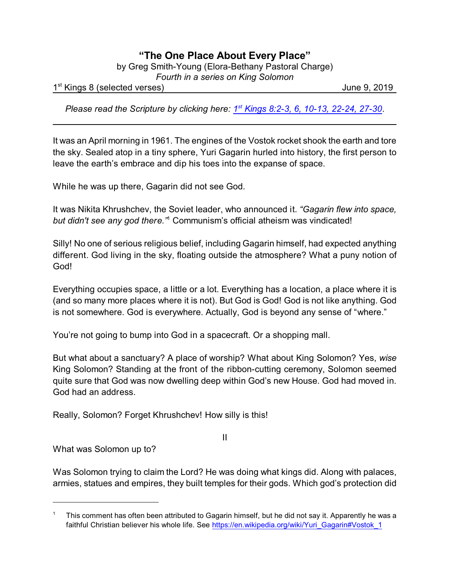## **"The One Place About Every Place"**

by Greg Smith-Young (Elora-Bethany Pastoral Charge)

*Fourth in a series on King Solomon*

1 st Kings 8 (selected verses) June 9, 2019

Please read the Scripture by clicking here: <sup>1st</sup> [Kings 8:2-3, 6, 10-13, 22-24, 27-30](https://www.biblegateway.com/passage/?search=1+Kings+8%3A2-3%2C+6%2C+10-13%2C+22-24%2C+27-30&version=CEB).

It was an April morning in 1961. The engines of the Vostok rocket shook the earth and tore the sky. Sealed atop in a tiny sphere, Yuri Gagarin hurled into history, the first person to leave the earth's embrace and dip his toes into the expanse of space.

While he was up there, Gagarin did not see God.

It was Nikita Khrushchev, the Soviet leader, who announced it. *"Gagarin flew into space,* but didn't see any god there.<sup>"</sup> Communism's official atheism was vindicated!

Silly! No one of serious religious belief, including Gagarin himself, had expected anything different. God living in the sky, floating outside the atmosphere? What a puny notion of God!

Everything occupies space, a little or a lot. Everything has a location, a place where it is (and so many more places where it is not). But God is God! God is not like anything. God is not somewhere. God is everywhere. Actually, God is beyond any sense of "where."

You're not going to bump into God in a spacecraft. Or a shopping mall.

But what about a sanctuary? A place of worship? What about King Solomon? Yes, *wise* King Solomon? Standing at the front of the ribbon-cutting ceremony, Solomon seemed quite sure that God was now dwelling deep within God's new House. God had moved in. God had an address.

Really, Solomon? Forget Khrushchev! How silly is this!

What was Solomon up to?

Was Solomon trying to claim the Lord? He was doing what kings did. Along with palaces, armies, statues and empires, they built temples for their gods. Which god's protection did

II

<sup>1</sup> This comment has often been attributed to Gagarin himself, but he did not say it. Apparently he was a faithful Christian believer his whole life. See [https://en.wikipedia.org/wiki/Yuri\\_Gagarin#Vostok\\_1](https://en.wikipedia.org/wiki/Yuri_Gagarin#Vostok_1)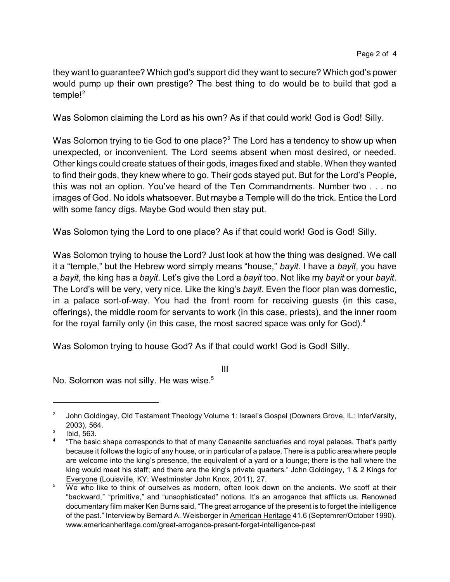they want to guarantee? Which god's support did they want to secure? Which god's power would pump up their own prestige? The best thing to do would be to build that god a temple! $2$ 

Was Solomon claiming the Lord as his own? As if that could work! God is God! Silly.

Was Solomon trying to tie God to one place? $3$  The Lord has a tendency to show up when unexpected, or inconvenient. The Lord seems absent when most desired, or needed. Other kings could create statues of their gods, images fixed and stable. When they wanted to find their gods, they knew where to go. Their gods stayed put. But for the Lord's People, this was not an option. You've heard of the Ten Commandments. Number two . . . no images of God. No idols whatsoever. But maybe a Temple will do the trick. Entice the Lord with some fancy digs. Maybe God would then stay put.

Was Solomon tying the Lord to one place? As if that could work! God is God! Silly.

Was Solomon trying to house the Lord? Just look at how the thing was designed. We call it a "temple," but the Hebrew word simply means "house," *bayit*. I have a *bayit*, you have a *bayit*, the king has a *bayit*. Let's give the Lord a *bayit* too. Not like my *bayit* or your *bayit*. The Lord's will be very, very nice. Like the king's *bayit*. Even the floor plan was domestic, in a palace sort-of-way. You had the front room for receiving guests (in this case, offerings), the middle room for servants to work (in this case, priests), and the inner room for the royal family only (in this case, the most sacred space was only for God).<sup>4</sup>

Was Solomon trying to house God? As if that could work! God is God! Silly.

III

No. Solomon was not silly. He was wise.<sup>5</sup>

<sup>2</sup> John Goldingay, Old Testament Theology Volume 1: Israel's Gospel (Downers Grove, IL: InterVarsity, 2003), 564.

<sup>3</sup> Ibid, 563.

<sup>4</sup> "The basic shape corresponds to that of many Canaanite sanctuaries and royal palaces. That's partly because it follows the logic of any house, or in particular of a palace. There is a public area where people are welcome into the king's presence, the equivalent of a yard or a lounge; there is the hall where the king would meet his staff; and there are the king's private quarters." John Goldingay, 1 & 2 Kings for Everyone (Louisville, KY: Westminster John Knox, 2011), 27.

 $\overline{5}$  We who like to think of ourselves as modern, often look down on the ancients. We scoff at their "backward," "primitive," and "unsophisticated" notions. It's an arrogance that afflicts us. Renowned documentary film maker Ken Burns said, "The great arrogance of the present is to forget the intelligence of the past." Interview by Bernard A. Weisberger in American Heritage 41.6 (Septemrer/October 1990). www.americanheritage.com/great-arrogance-present-forget-intelligence-past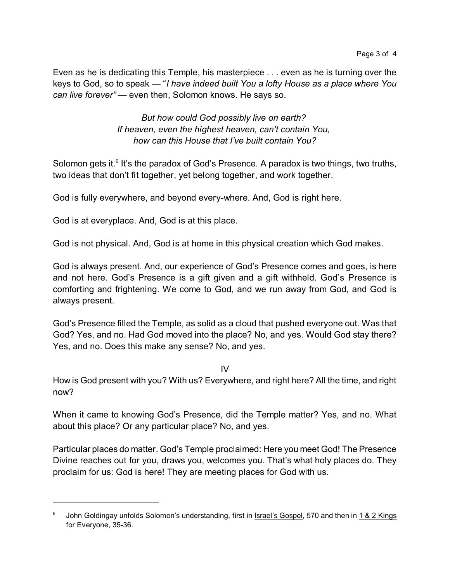Even as he is dedicating this Temple, his masterpiece . . . even as he is turning over the keys to God, so to speak — "*I have indeed built You a lofty House as a place where You can live forever"* — even then, Solomon knows. He says so.

> *But how could God possibly live on earth? If heaven, even the highest heaven, can't contain You, how can this House that I've built contain You?*

Solomon gets it.<sup>6</sup> It's the paradox of God's Presence. A paradox is two things, two truths, two ideas that don't fit together, yet belong together, and work together.

God is fully everywhere, and beyond every-where. And, God is right here.

God is at everyplace. And, God is at this place.

God is not physical. And, God is at home in this physical creation which God makes.

God is always present. And, our experience of God's Presence comes and goes, is here and not here. God's Presence is a gift given and a gift withheld. God's Presence is comforting and frightening. We come to God, and we run away from God, and God is always present.

God's Presence filled the Temple, as solid as a cloud that pushed everyone out. Was that God? Yes, and no. Had God moved into the place? No, and yes. Would God stay there? Yes, and no. Does this make any sense? No, and yes.

IV

How is God present with you? With us? Everywhere, and right here? All the time, and right now?

When it came to knowing God's Presence, did the Temple matter? Yes, and no. What about this place? Or any particular place? No, and yes.

Particular places do matter. God's Temple proclaimed: Here you meet God! The Presence Divine reaches out for you, draws you, welcomes you. That's what holy places do. They proclaim for us: God is here! They are meeting places for God with us.

<sup>6</sup> John Goldingay unfolds Solomon's understanding, first in Israel's Gospel, 570 and then in 1 & 2 Kings for Everyone, 35-36.